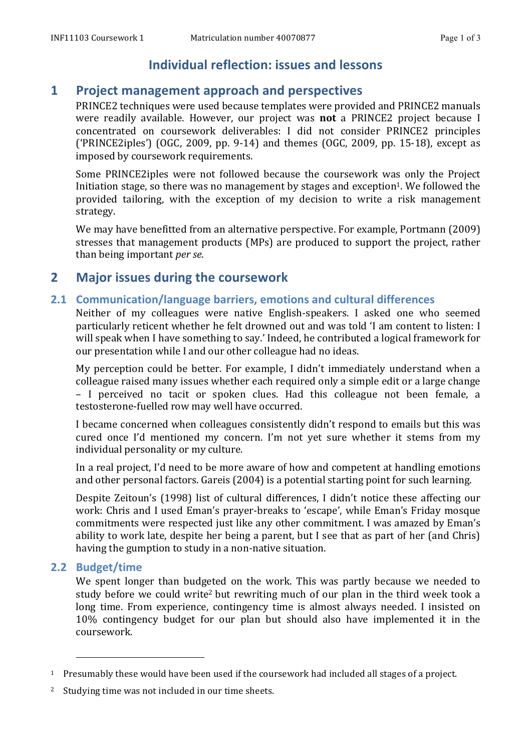# **Individual reflection: issues and lessons**

# **1 Project management approach and perspectives**

PRINCE2 techniques were used because templates were provided and PRINCE2 manuals were readily available. However, our project was **not** a PRINCE2 project because I concentrated on coursework deliverables: I did not consider PRINCE2 principles ('PRINCE2iples') (OGC, 2009, pp. 9-14) and themes (OGC, 2009, pp. 15-18), except as imposed by coursework requirements.

Some PRINCE2iples were not followed because the coursework was only the Project Initiation stage, so there was no management by stages and exception<sup>1</sup>. We followed the provided tailoring, with the exception of my decision to write a risk management strategy.

We may have benefitted from an alternative perspective. For example, Portmann (2009) stresses that management products (MPs) are produced to support the project, rather than being important *per se*.

# **2 Major issues during the coursework**

## **2.1 Communication/language barriers, emotions and cultural differences**

Neither of my colleagues were native English-speakers. I asked one who seemed particularly reticent whether he felt drowned out and was told 'I am content to listen: I will speak when I have something to say.' Indeed, he contributed a logical framework for our presentation while I and our other colleague had no ideas.

My perception could be better. For example, I didn't immediately understand when a colleague raised many issues whether each required only a simple edit or a large change – I perceived no tacit or spoken clues. Had this colleague not been female, a testosterone-fuelled row may well have occurred.

I became concerned when colleagues consistently didn't respond to emails but this was cured once I'd mentioned my concern. I'm not yet sure whether it stems from my individual personality or my culture.

In a real project, I'd need to be more aware of how and competent at handling emotions and other personal factors. Gareis (2004) is a potential starting point for such learning.

Despite Zeitoun's (1998) list of cultural differences, I didn't notice these affecting our work: Chris and I used Eman's prayer-breaks to 'escape', while Eman's Friday mosque commitments were respected just like any other commitment. I was amazed by Eman's ability to work late, despite her being a parent, but I see that as part of her (and Chris) having the gumption to study in a non-native situation.

# **2.2 Budget/time**

We spent longer than budgeted on the work. This was partly because we needed to study before we could write<sup>2</sup> but rewriting much of our plan in the third week took a long time. From experience, contingency time is almost always needed. I insisted on 10% contingency budget for our plan but should also have implemented it in the coursework.

 

<sup>&</sup>lt;sup>1</sup> Presumably these would have been used if the coursework had included all stages of a project.

<sup>&</sup>lt;sup>2</sup> Studying time was not included in our time sheets.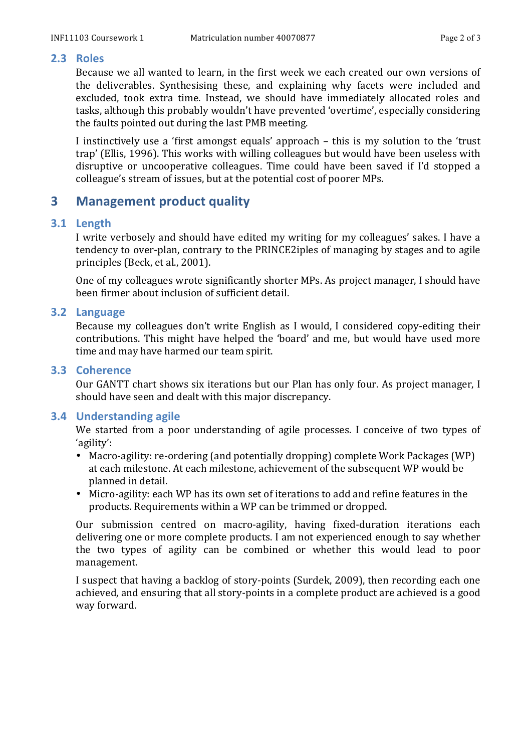#### **2.3 Roles**

Because we all wanted to learn, in the first week we each created our own versions of the deliverables. Synthesising these, and explaining why facets were included and excluded, took extra time. Instead, we should have immediately allocated roles and tasks, although this probably wouldn't have prevented 'overtime', especially considering the faults pointed out during the last PMB meeting.

I instinctively use a 'first amongst equals' approach – this is my solution to the 'trust trap' (Ellis, 1996). This works with willing colleagues but would have been useless with disruptive or uncooperative colleagues. Time could have been saved if I'd stopped a colleague's stream of issues, but at the potential cost of poorer MPs.

# **3 Management product quality**

### **3.1 Length**

I write verbosely and should have edited my writing for my colleagues' sakes. I have a tendency to over-plan, contrary to the PRINCE2iples of managing by stages and to agile principles (Beck, et al., 2001).

One of my colleagues wrote significantly shorter MPs. As project manager, I should have been firmer about inclusion of sufficient detail.

#### **3.2 Language**

Because my colleagues don't write English as I would, I considered copy-editing their contributions. This might have helped the 'board' and me, but would have used more time and may have harmed our team spirit.

#### **3.3 Coherence**

Our GANTT chart shows six iterations but our Plan has only four. As project manager, I should have seen and dealt with this major discrepancy.

## **3.4 Understanding agile**

We started from a poor understanding of agile processes. I conceive of two types of 'agility':

- Macro-agility: re-ordering (and potentially dropping) complete Work Packages (WP) at each milestone. At each milestone, achievement of the subsequent WP would be planned in detail.
- Micro-agility: each WP has its own set of iterations to add and refine features in the products. Requirements within a WP can be trimmed or dropped.

Our submission centred on macro-agility, having fixed-duration iterations each delivering one or more complete products. I am not experienced enough to say whether the two types of agility can be combined or whether this would lead to poor management.

I suspect that having a backlog of story-points (Surdek, 2009), then recording each one achieved, and ensuring that all story-points in a complete product are achieved is a good way forward.